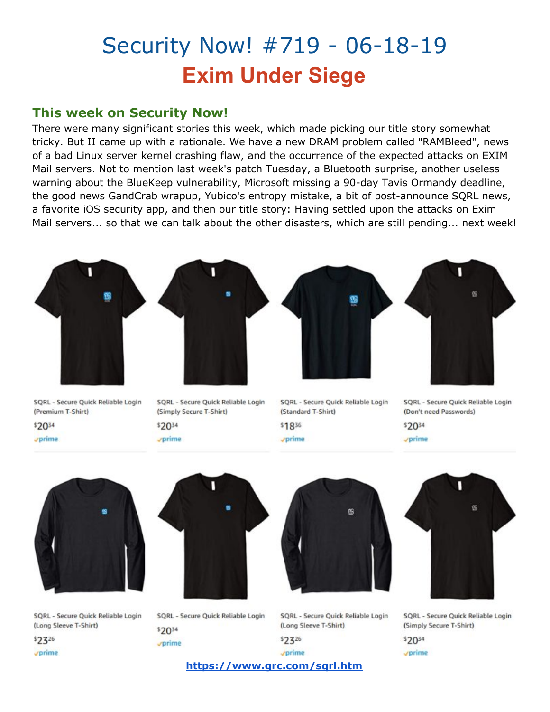# Security Now! #719 - 06-18-19 **Exim Under Siege**

### **This week on Security Now!**

There were many significant stories this week, which made picking our title story somewhat tricky. But II came up with a rationale. We have a new DRAM problem called "RAMBleed", news of a bad Linux server kernel crashing flaw, and the occurrence of the expected attacks on EXIM Mail servers. Not to mention last week's patch Tuesday, a Bluetooth surprise, another useless warning about the BlueKeep vulnerability, Microsoft missing a 90-day Tavis Ormandy deadline, the good news GandCrab wrapup, Yubico's entropy mistake, a bit of post-announce SQRL news, a favorite iOS security app, and then our title story: Having settled upon the attacks on Exim Mail servers... so that we can talk about the other disasters, which are still pending... next week!



| Ü |  |
|---|--|
|   |  |

\$2034 vprime

\$1836 vprime

\$2034

vprime



SQRL - Secure Quick Reliable Login (Long Sleeve T-Shirt)

 $$2326$ vprime



SQRL - Secure Quick Reliable Login \$2034 vprime



SQRL - Secure Quick Reliable Login (Long Sleeve T-Shirt)

|  | τ |  |
|--|---|--|
|  |   |  |



SQRL - Secure Quick Reliable Login (Simply Secure T-Shirt)

\$2034

vprime

**<https://www.grc.com/sqrl.htm>**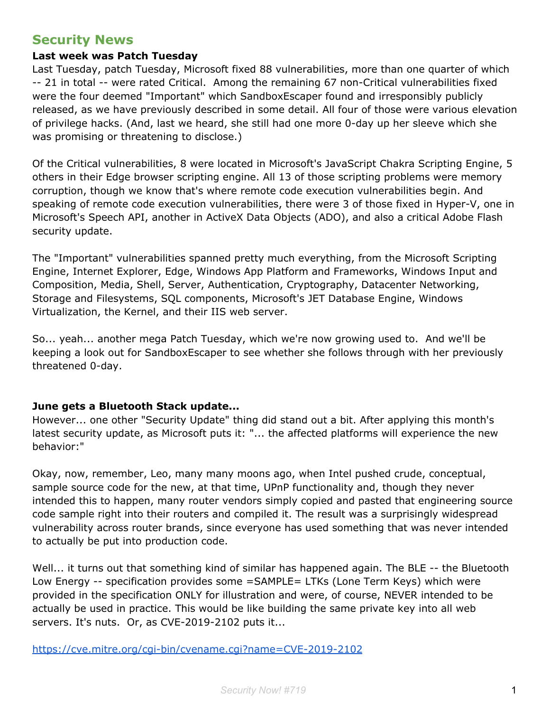### **Security News**

#### **Last week was Patch Tuesday**

Last Tuesday, patch Tuesday, Microsoft fixed 88 vulnerabilities, more than one quarter of which -- 21 in total -- were rated Critical. Among the remaining 67 non-Critical vulnerabilities fixed were the four deemed "Important" which SandboxEscaper found and irresponsibly publicly released, as we have previously described in some detail. All four of those were various elevation of privilege hacks. (And, last we heard, she still had one more 0-day up her sleeve which she was promising or threatening to disclose.)

Of the Critical vulnerabilities, 8 were located in Microsoft's JavaScript Chakra Scripting Engine, 5 others in their Edge browser scripting engine. All 13 of those scripting problems were memory corruption, though we know that's where remote code execution vulnerabilities begin. And speaking of remote code execution vulnerabilities, there were 3 of those fixed in Hyper-V, one in Microsoft's Speech API, another in ActiveX Data Objects (ADO), and also a critical Adobe Flash security update.

The "Important" vulnerabilities spanned pretty much everything, from the Microsoft Scripting Engine, Internet Explorer, Edge, Windows App Platform and Frameworks, Windows Input and Composition, Media, Shell, Server, Authentication, Cryptography, Datacenter Networking, Storage and Filesystems, SQL components, Microsoft's JET Database Engine, Windows Virtualization, the Kernel, and their IIS web server.

So... yeah... another mega Patch Tuesday, which we're now growing used to. And we'll be keeping a look out for SandboxEscaper to see whether she follows through with her previously threatened 0-day.

#### **June gets a Bluetooth Stack update...**

However... one other "Security Update" thing did stand out a bit. After applying this month's latest security update, as Microsoft puts it: "... the affected platforms will experience the new behavior:"

Okay, now, remember, Leo, many many moons ago, when Intel pushed crude, conceptual, sample source code for the new, at that time, UPnP functionality and, though they never intended this to happen, many router vendors simply copied and pasted that engineering source code sample right into their routers and compiled it. The result was a surprisingly widespread vulnerability across router brands, since everyone has used something that was never intended to actually be put into production code.

Well... it turns out that something kind of similar has happened again. The BLE -- the Bluetooth Low Energy -- specification provides some =SAMPLE= LTKs (Lone Term Keys) which were provided in the specification ONLY for illustration and were, of course, NEVER intended to be actually be used in practice. This would be like building the same private key into all web servers. It's nuts. Or, as CVE-2019-2102 puts it...

<https://cve.mitre.org/cgi-bin/cvename.cgi?name=CVE-2019-2102>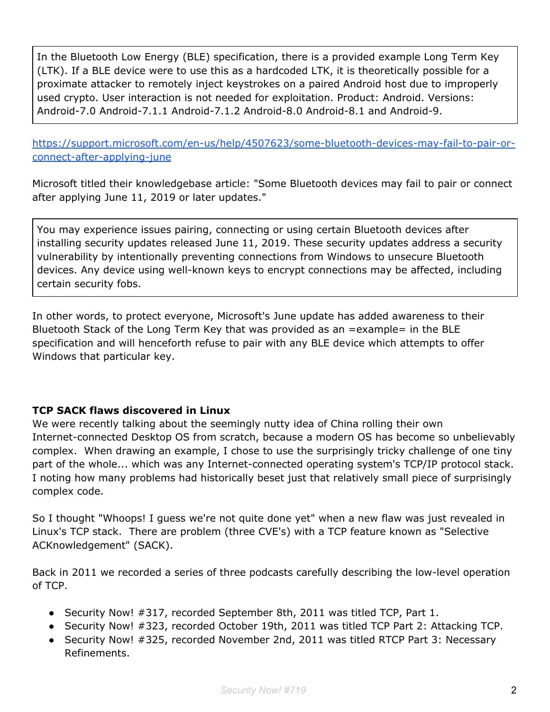In the Bluetooth Low Energy (BLE) specification, there is a provided example Long Term Key (LTK). If a BLE device were to use this as a hardcoded LTK, it is theoretically possible for a proximate attacker to remotely inject keystrokes on a paired Android host due to improperly used crypto. User interaction is not needed for exploitation. Product: Android. Versions: Android-7.0 Android-7.1.1 Android-7.1.2 Android-8.0 Android-8.1 and Android-9.

[https://support.microsoft.com/en-us/help/4507623/some-bluetooth-devices-may-fail-to-pair-or](https://support.microsoft.com/en-us/help/4507623/some-bluetooth-devices-may-fail-to-pair-or-connect-after-applying-june)[connect-after-applying-june](https://support.microsoft.com/en-us/help/4507623/some-bluetooth-devices-may-fail-to-pair-or-connect-after-applying-june)

Microsoft titled their knowledgebase article: "Some Bluetooth devices may fail to pair or connect after applying June 11, 2019 or later updates."

You may experience issues pairing, connecting or using certain Bluetooth devices after installing security updates released June 11, 2019. These security updates address a security vulnerability by intentionally preventing connections from Windows to unsecure Bluetooth devices. Any device using well-known keys to encrypt connections may be affected, including certain security fobs.

In other words, to protect everyone, Microsoft's June update has added awareness to their Bluetooth Stack of the Long Term Key that was provided as an =example= in the BLE specification and will henceforth refuse to pair with any BLE device which attempts to offer Windows that particular key.

#### **TCP SACK flaws discovered in Linux**

We were recently talking about the seemingly nutty idea of China rolling their own Internet-connected Desktop OS from scratch, because a modern OS has become so unbelievably complex. When drawing an example, I chose to use the surprisingly tricky challenge of one tiny part of the whole... which was any Internet-connected operating system's TCP/IP protocol stack. I noting how many problems had historically beset just that relatively small piece of surprisingly complex code.

So I thought "Whoops! I guess we're not quite done yet" when a new flaw was just revealed in Linux's TCP stack. There are problem (three CVE's) with a TCP feature known as "Selective ACKnowledgement" (SACK).

Back in 2011 we recorded a series of three podcasts carefully describing the low-level operation of TCP.

- Security Now! #317, recorded September 8th, 2011 was titled TCP, Part 1.
- Security Now! #323, recorded October 19th, 2011 was titled TCP Part 2: Attacking TCP.
- Security Now! #325, recorded November 2nd, 2011 was titled RTCP Part 3: Necessary Refinements.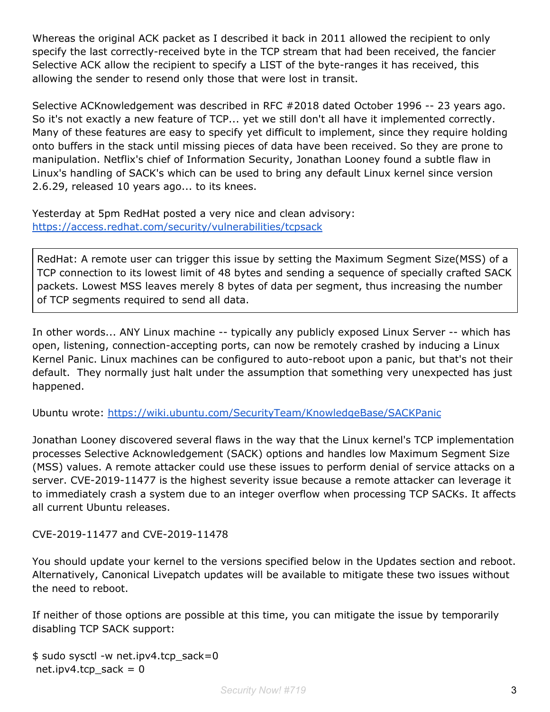Whereas the original ACK packet as I described it back in 2011 allowed the recipient to only specify the last correctly-received byte in the TCP stream that had been received, the fancier Selective ACK allow the recipient to specify a LIST of the byte-ranges it has received, this allowing the sender to resend only those that were lost in transit.

Selective ACKnowledgement was described in RFC #2018 dated October 1996 -- 23 years ago. So it's not exactly a new feature of TCP... yet we still don't all have it implemented correctly. Many of these features are easy to specify yet difficult to implement, since they require holding onto buffers in the stack until missing pieces of data have been received. So they are prone to manipulation. Netflix's chief of Information Security, Jonathan Looney found a subtle flaw in Linux's handling of SACK's which can be used to bring any default Linux kernel since version 2.6.29, released 10 years ago... to its knees.

Yesterday at 5pm RedHat posted a very nice and clean advisory: <https://access.redhat.com/security/vulnerabilities/tcpsack>

RedHat: A remote user can trigger this issue by setting the Maximum Segment Size(MSS) of a TCP connection to its lowest limit of 48 bytes and sending a sequence of specially crafted SACK packets. Lowest MSS leaves merely 8 bytes of data per segment, thus increasing the number of TCP segments required to send all data.

In other words... ANY Linux machine -- typically any publicly exposed Linux Server -- which has open, listening, connection-accepting ports, can now be remotely crashed by inducing a Linux Kernel Panic. Linux machines can be configured to auto-reboot upon a panic, but that's not their default. They normally just halt under the assumption that something very unexpected has just happened.

Ubuntu wrote: <https://wiki.ubuntu.com/SecurityTeam/KnowledgeBase/SACKPanic>

Jonathan Looney discovered several flaws in the way that the Linux kernel's TCP implementation processes Selective Acknowledgement (SACK) options and handles low Maximum Segment Size (MSS) values. A remote attacker could use these issues to perform denial of service attacks on a server. CVE-2019-11477 is the highest severity issue because a remote attacker can leverage it to immediately crash a system due to an integer overflow when processing TCP SACKs. It affects all current Ubuntu releases.

#### CVE-2019-11477 and CVE-2019-11478

You should update your kernel to the versions specified below in the Updates section and reboot. Alternatively, Canonical Livepatch updates will be available to mitigate these two issues without the need to reboot.

If neither of those options are possible at this time, you can mitigate the issue by temporarily disabling TCP SACK support:

```
$ sudo sysctl -w net.ipv4.tcp_sack=0
net.ipv4.tcp sack = 0
```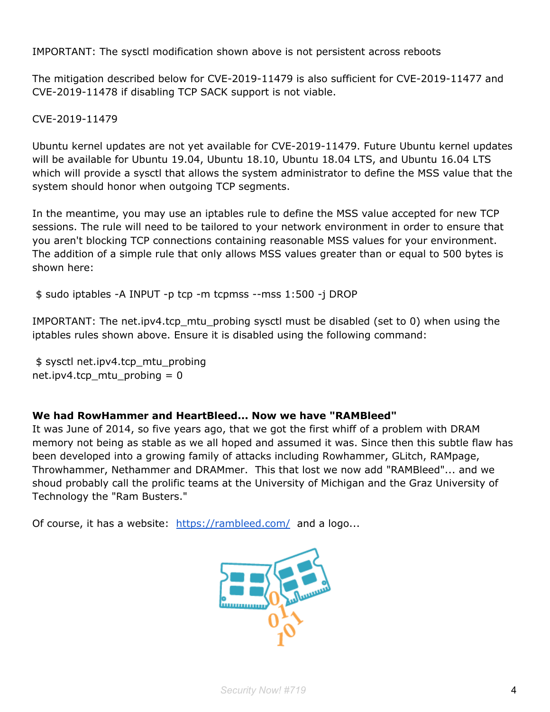IMPORTANT: The sysctl modification shown above is not persistent across reboots

The mitigation described below for CVE-2019-11479 is also sufficient for CVE-2019-11477 and CVE-2019-11478 if disabling TCP SACK support is not viable.

CVE-2019-11479

Ubuntu kernel updates are not yet available for CVE-2019-11479. Future Ubuntu kernel updates will be available for Ubuntu 19.04, Ubuntu 18.10, Ubuntu 18.04 LTS, and Ubuntu 16.04 LTS which will provide a sysctl that allows the system administrator to define the MSS value that the system should honor when outgoing TCP segments.

In the meantime, you may use an iptables rule to define the MSS value accepted for new TCP sessions. The rule will need to be tailored to your network environment in order to ensure that you aren't blocking TCP connections containing reasonable MSS values for your environment. The addition of a simple rule that only allows MSS values greater than or equal to 500 bytes is shown here:

\$ sudo iptables -A INPUT -p tcp -m tcpmss --mss 1:500 -j DROP

IMPORTANT: The net.ipv4.tcp\_mtu\_probing sysctl must be disabled (set to 0) when using the iptables rules shown above. Ensure it is disabled using the following command:

\$ sysctl net.ipv4.tcp\_mtu\_probing net.ipv4.tcp\_mtu\_probing = 0

#### **We had RowHammer and HeartBleed... Now we have "RAMBleed"**

It was June of 2014, so five years ago, that we got the first whiff of a problem with DRAM memory not being as stable as we all hoped and assumed it was. Since then this subtle flaw has been developed into a growing family of attacks including Rowhammer, GLitch, RAMpage, Throwhammer, Nethammer and DRAMmer. This that lost we now add "RAMBleed"... and we shoud probably call the prolific teams at the University of Michigan and the Graz University of Technology the "Ram Busters."

Of course, it has a website: <https://rambleed.com/> and a logo...

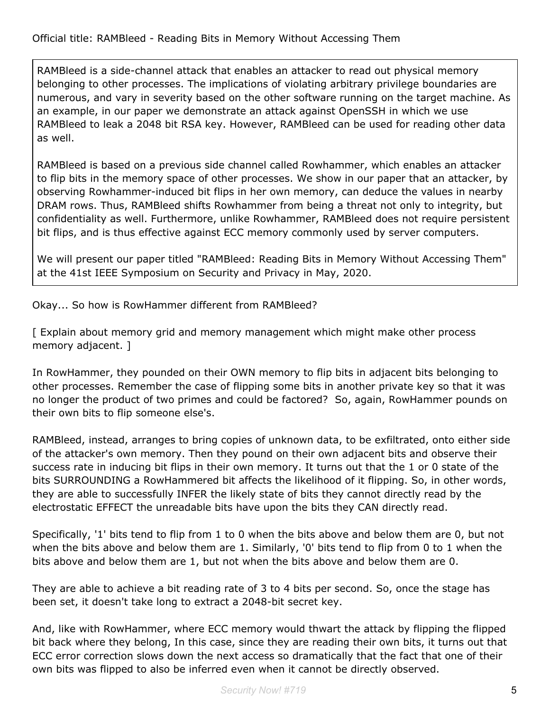RAMBleed is a side-channel attack that enables an attacker to read out physical memory belonging to other processes. The implications of violating arbitrary privilege boundaries are numerous, and vary in severity based on the other software running on the target machine. As an example, in our paper we demonstrate an attack against OpenSSH in which we use RAMBleed to leak a 2048 bit RSA key. However, RAMBleed can be used for reading other data as well.

RAMBleed is based on a previous side channel called Rowhammer, which enables an attacker to flip bits in the memory space of other processes. We show in our paper that an attacker, by observing Rowhammer-induced bit flips in her own memory, can deduce the values in nearby DRAM rows. Thus, RAMBleed shifts Rowhammer from being a threat not only to integrity, but confidentiality as well. Furthermore, unlike Rowhammer, RAMBleed does not require persistent bit flips, and is thus effective against ECC memory commonly used by server computers.

We will present our paper titled "RAMBleed: Reading Bits in Memory Without Accessing Them" at the 41st IEEE Symposium on Security and Privacy in May, 2020.

Okay... So how is RowHammer different from RAMBleed?

[ Explain about memory grid and memory management which might make other process memory adjacent. ]

In RowHammer, they pounded on their OWN memory to flip bits in adjacent bits belonging to other processes. Remember the case of flipping some bits in another private key so that it was no longer the product of two primes and could be factored? So, again, RowHammer pounds on their own bits to flip someone else's.

RAMBleed, instead, arranges to bring copies of unknown data, to be exfiltrated, onto either side of the attacker's own memory. Then they pound on their own adjacent bits and observe their success rate in inducing bit flips in their own memory. It turns out that the 1 or 0 state of the bits SURROUNDING a RowHammered bit affects the likelihood of it flipping. So, in other words, they are able to successfully INFER the likely state of bits they cannot directly read by the electrostatic EFFECT the unreadable bits have upon the bits they CAN directly read.

Specifically, '1' bits tend to flip from 1 to 0 when the bits above and below them are 0, but not when the bits above and below them are 1. Similarly, '0' bits tend to flip from 0 to 1 when the bits above and below them are 1, but not when the bits above and below them are 0.

They are able to achieve a bit reading rate of 3 to 4 bits per second. So, once the stage has been set, it doesn't take long to extract a 2048-bit secret key.

And, like with RowHammer, where ECC memory would thwart the attack by flipping the flipped bit back where they belong, In this case, since they are reading their own bits, it turns out that ECC error correction slows down the next access so dramatically that the fact that one of their own bits was flipped to also be inferred even when it cannot be directly observed.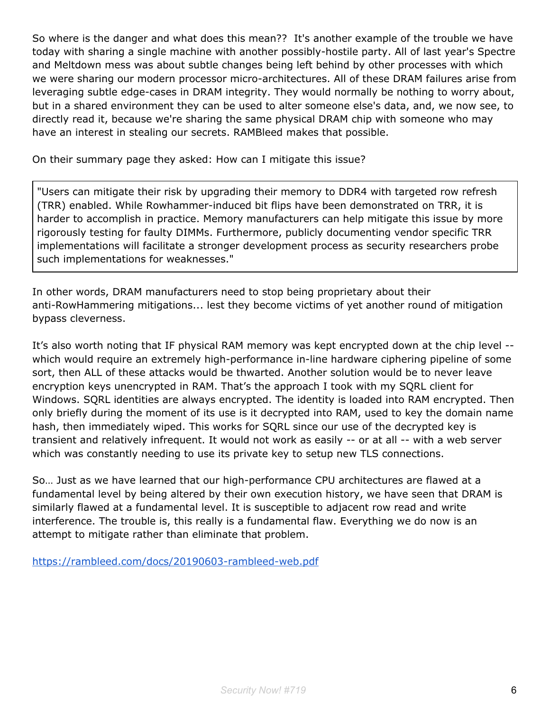So where is the danger and what does this mean?? It's another example of the trouble we have today with sharing a single machine with another possibly-hostile party. All of last year's Spectre and Meltdown mess was about subtle changes being left behind by other processes with which we were sharing our modern processor micro-architectures. All of these DRAM failures arise from leveraging subtle edge-cases in DRAM integrity. They would normally be nothing to worry about, but in a shared environment they can be used to alter someone else's data, and, we now see, to directly read it, because we're sharing the same physical DRAM chip with someone who may have an interest in stealing our secrets. RAMBleed makes that possible.

On their summary page they asked: How can I mitigate this issue?

"Users can mitigate their risk by upgrading their memory to DDR4 with targeted row refresh (TRR) enabled. While Rowhammer-induced bit flips have been demonstrated on TRR, it is harder to accomplish in practice. Memory manufacturers can help mitigate this issue by more rigorously testing for faulty DIMMs. Furthermore, publicly documenting vendor specific TRR implementations will facilitate a stronger development process as security researchers probe such implementations for weaknesses."

In other words, DRAM manufacturers need to stop being proprietary about their anti-RowHammering mitigations... lest they become victims of yet another round of mitigation bypass cleverness.

It's also worth noting that IF physical RAM memory was kept encrypted down at the chip level - which would require an extremely high-performance in-line hardware ciphering pipeline of some sort, then ALL of these attacks would be thwarted. Another solution would be to never leave encryption keys unencrypted in RAM. That's the approach I took with my SQRL client for Windows. SQRL identities are always encrypted. The identity is loaded into RAM encrypted. Then only briefly during the moment of its use is it decrypted into RAM, used to key the domain name hash, then immediately wiped. This works for SQRL since our use of the decrypted key is transient and relatively infrequent. It would not work as easily -- or at all -- with a web server which was constantly needing to use its private key to setup new TLS connections.

So… Just as we have learned that our high-performance CPU architectures are flawed at a fundamental level by being altered by their own execution history, we have seen that DRAM is similarly flawed at a fundamental level. It is susceptible to adjacent row read and write interference. The trouble is, this really is a fundamental flaw. Everything we do now is an attempt to mitigate rather than eliminate that problem.

<https://rambleed.com/docs/20190603-rambleed-web.pdf>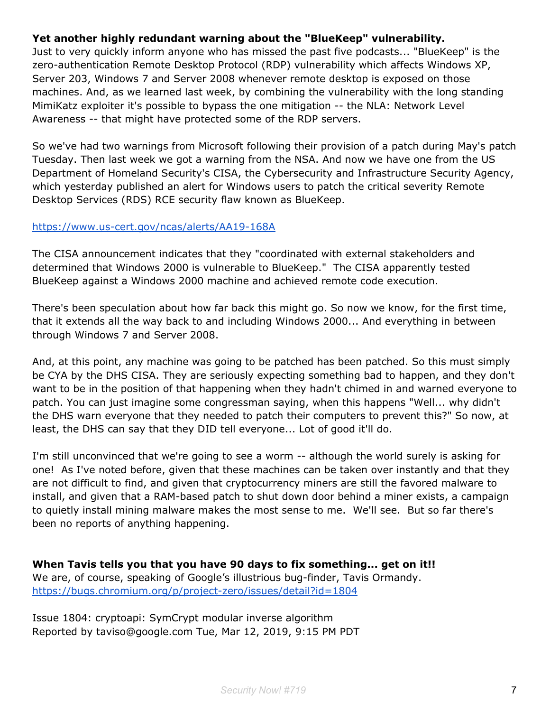#### **Yet another highly redundant warning about the "BlueKeep" vulnerability.**

Just to very quickly inform anyone who has missed the past five podcasts... "BlueKeep" is the zero-authentication Remote Desktop Protocol (RDP) vulnerability which affects Windows XP, Server 203, Windows 7 and Server 2008 whenever remote desktop is exposed on those machines. And, as we learned last week, by combining the vulnerability with the long standing MimiKatz exploiter it's possible to bypass the one mitigation -- the NLA: Network Level Awareness -- that might have protected some of the RDP servers.

So we've had two warnings from Microsoft following their provision of a patch during May's patch Tuesday. Then last week we got a warning from the NSA. And now we have one from the US Department of Homeland Security's CISA, the Cybersecurity and Infrastructure Security Agency, which yesterday published an alert for Windows users to patch the critical severity Remote Desktop Services (RDS) RCE security flaw known as BlueKeep.

#### <https://www.us-cert.gov/ncas/alerts/AA19-168A>

The CISA announcement indicates that they "coordinated with external stakeholders and determined that Windows 2000 is vulnerable to BlueKeep." The CISA apparently tested BlueKeep against a Windows 2000 machine and achieved remote code execution.

There's been speculation about how far back this might go. So now we know, for the first time, that it extends all the way back to and including Windows 2000... And everything in between through Windows 7 and Server 2008.

And, at this point, any machine was going to be patched has been patched. So this must simply be CYA by the DHS CISA. They are seriously expecting something bad to happen, and they don't want to be in the position of that happening when they hadn't chimed in and warned everyone to patch. You can just imagine some congressman saying, when this happens "Well... why didn't the DHS warn everyone that they needed to patch their computers to prevent this?" So now, at least, the DHS can say that they DID tell everyone... Lot of good it'll do.

I'm still unconvinced that we're going to see a worm -- although the world surely is asking for one! As I've noted before, given that these machines can be taken over instantly and that they are not difficult to find, and given that cryptocurrency miners are still the favored malware to install, and given that a RAM-based patch to shut down door behind a miner exists, a campaign to quietly install mining malware makes the most sense to me. We'll see. But so far there's been no reports of anything happening.

**When Tavis tells you that you have 90 days to fix something... get on it!!** We are, of course, speaking of Google's illustrious bug-finder, Tavis Ormandy. <https://bugs.chromium.org/p/project-zero/issues/detail?id=1804>

Issue 1804: cryptoapi: SymCrypt modular inverse algorithm Reported by taviso@google.com Tue, Mar 12, 2019, 9:15 PM PDT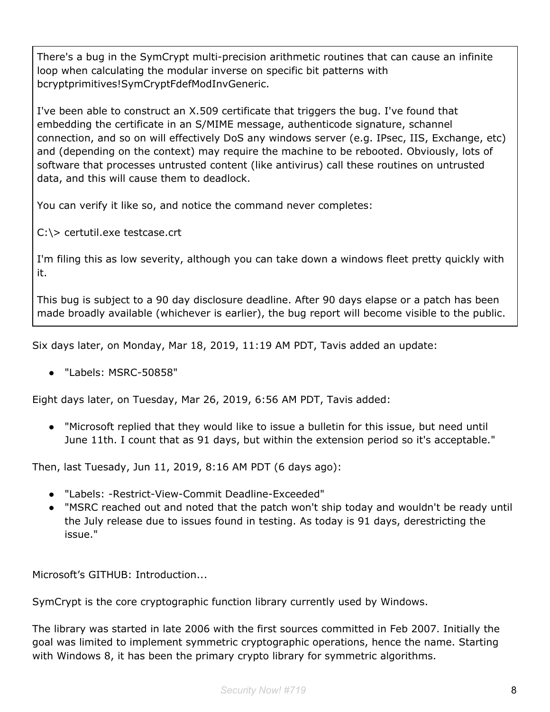There's a bug in the SymCrypt multi-precision arithmetic routines that can cause an infinite loop when calculating the modular inverse on specific bit patterns with bcryptprimitives!SymCryptFdefModInvGeneric.

I've been able to construct an X.509 certificate that triggers the bug. I've found that embedding the certificate in an S/MIME message, authenticode signature, schannel connection, and so on will effectively DoS any windows server (e.g. IPsec, IIS, Exchange, etc) and (depending on the context) may require the machine to be rebooted. Obviously, lots of software that processes untrusted content (like antivirus) call these routines on untrusted data, and this will cause them to deadlock.

You can verify it like so, and notice the command never completes:

C:\> certutil.exe testcase.crt

I'm filing this as low severity, although you can take down a windows fleet pretty quickly with it.

This bug is subject to a 90 day disclosure deadline. After 90 days elapse or a patch has been made broadly available (whichever is earlier), the bug report will become visible to the public.

Six days later, on Monday, Mar 18, 2019, 11:19 AM PDT, Tavis added an update:

● "Labels: MSRC-50858"

Eight days later, on Tuesday, Mar 26, 2019, 6:56 AM PDT, Tavis added:

● "Microsoft replied that they would like to issue a bulletin for this issue, but need until June 11th. I count that as 91 days, but within the extension period so it's acceptable."

Then, last Tuesady, Jun 11, 2019, 8:16 AM PDT (6 days ago):

- "Labels: -Restrict-View-Commit Deadline-Exceeded"
- "MSRC reached out and noted that the patch won't ship today and wouldn't be ready until the July release due to issues found in testing. As today is 91 days, derestricting the issue."

Microsoft's GITHUB: Introduction...

SymCrypt is the core cryptographic function library currently used by Windows.

The library was started in late 2006 with the first sources committed in Feb 2007. Initially the goal was limited to implement symmetric cryptographic operations, hence the name. Starting with Windows 8, it has been the primary crypto library for symmetric algorithms.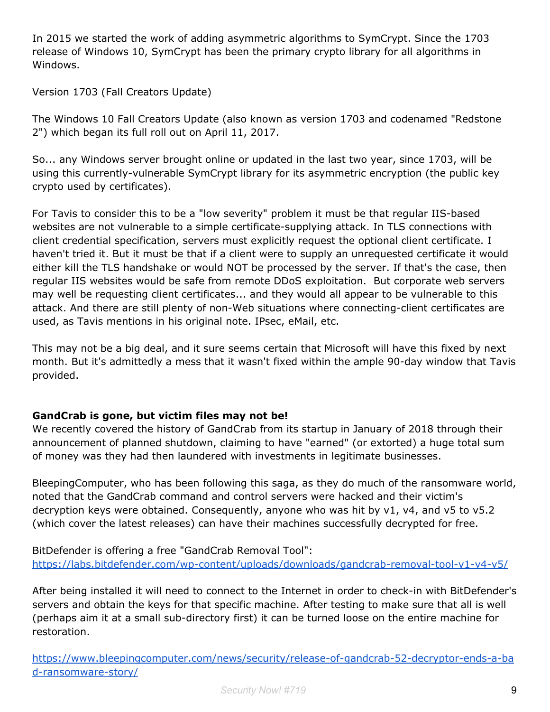In 2015 we started the work of adding asymmetric algorithms to SymCrypt. Since the 1703 release of Windows 10, SymCrypt has been the primary crypto library for all algorithms in Windows.

Version 1703 (Fall Creators Update)

The Windows 10 Fall Creators Update (also known as version 1703 and codenamed "Redstone 2") which began its full roll out on April 11, 2017.

So... any Windows server brought online or updated in the last two year, since 1703, will be using this currently-vulnerable SymCrypt library for its asymmetric encryption (the public key crypto used by certificates).

For Tavis to consider this to be a "low severity" problem it must be that regular IIS-based websites are not vulnerable to a simple certificate-supplying attack. In TLS connections with client credential specification, servers must explicitly request the optional client certificate. I haven't tried it. But it must be that if a client were to supply an unrequested certificate it would either kill the TLS handshake or would NOT be processed by the server. If that's the case, then regular IIS websites would be safe from remote DDoS exploitation. But corporate web servers may well be requesting client certificates... and they would all appear to be vulnerable to this attack. And there are still plenty of non-Web situations where connecting-client certificates are used, as Tavis mentions in his original note. IPsec, eMail, etc.

This may not be a big deal, and it sure seems certain that Microsoft will have this fixed by next month. But it's admittedly a mess that it wasn't fixed within the ample 90-day window that Tavis provided.

#### **GandCrab is gone, but victim files may not be!**

We recently covered the history of GandCrab from its startup in January of 2018 through their announcement of planned shutdown, claiming to have "earned" (or extorted) a huge total sum of money was they had then laundered with investments in legitimate businesses.

BleepingComputer, who has been following this saga, as they do much of the ransomware world, noted that the GandCrab command and control servers were hacked and their victim's decryption keys were obtained. Consequently, anyone who was hit by v1, v4, and v5 to v5.2 (which cover the latest releases) can have their machines successfully decrypted for free.

BitDefender is offering a free "GandCrab Removal Tool": <https://labs.bitdefender.com/wp-content/uploads/downloads/gandcrab-removal-tool-v1-v4-v5/>

After being installed it will need to connect to the Internet in order to check-in with BitDefender's servers and obtain the keys for that specific machine. After testing to make sure that all is well (perhaps aim it at a small sub-directory first) it can be turned loose on the entire machine for restoration.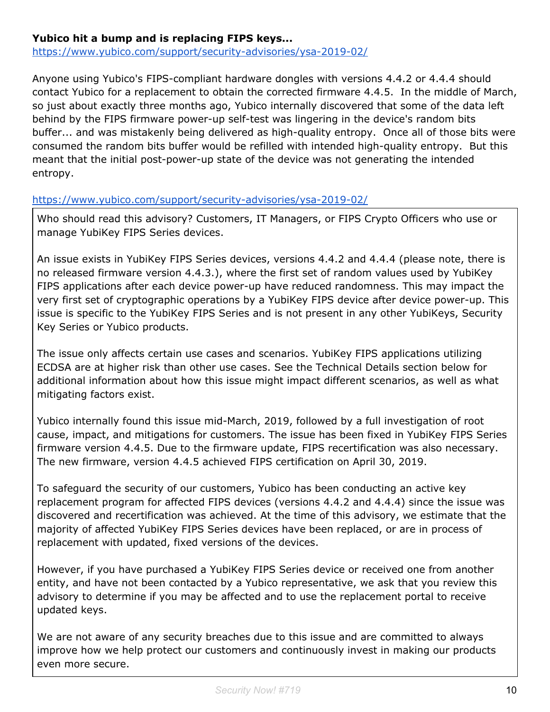#### **Yubico hit a bump and is replacing FIPS keys...**

<https://www.yubico.com/support/security-advisories/ysa-2019-02/>

Anyone using Yubico's FIPS-compliant hardware dongles with versions 4.4.2 or 4.4.4 should contact Yubico for a replacement to obtain the corrected firmware 4.4.5. In the middle of March, so just about exactly three months ago, Yubico internally discovered that some of the data left behind by the FIPS firmware power-up self-test was lingering in the device's random bits buffer... and was mistakenly being delivered as high-quality entropy. Once all of those bits were consumed the random bits buffer would be refilled with intended high-quality entropy. But this meant that the initial post-power-up state of the device was not generating the intended entropy.

#### <https://www.yubico.com/support/security-advisories/ysa-2019-02/>

Who should read this advisory? Customers, IT Managers, or FIPS Crypto Officers who use or manage YubiKey FIPS Series devices.

An issue exists in YubiKey FIPS Series devices, versions 4.4.2 and 4.4.4 (please note, there is no released firmware version 4.4.3.), where the first set of random values used by YubiKey FIPS applications after each device power-up have reduced randomness. This may impact the very first set of cryptographic operations by a YubiKey FIPS device after device power-up. This issue is specific to the YubiKey FIPS Series and is not present in any other YubiKeys, Security Key Series or Yubico products.

The issue only affects certain use cases and scenarios. YubiKey FIPS applications utilizing ECDSA are at higher risk than other use cases. See the Technical Details section below for additional information about how this issue might impact different scenarios, as well as what mitigating factors exist.

Yubico internally found this issue mid-March, 2019, followed by a full investigation of root cause, impact, and mitigations for customers. The issue has been fixed in YubiKey FIPS Series firmware version 4.4.5. Due to the firmware update, FIPS recertification was also necessary. The new firmware, version 4.4.5 achieved FIPS certification on April 30, 2019.

To safeguard the security of our customers, Yubico has been conducting an active key replacement program for affected FIPS devices (versions 4.4.2 and 4.4.4) since the issue was discovered and recertification was achieved. At the time of this advisory, we estimate that the majority of affected YubiKey FIPS Series devices have been replaced, or are in process of replacement with updated, fixed versions of the devices.

However, if you have purchased a YubiKey FIPS Series device or received one from another entity, and have not been contacted by a Yubico representative, we ask that you review this advisory to determine if you may be affected and to use the replacement portal to receive updated keys.

We are not aware of any security breaches due to this issue and are committed to always improve how we help protect our customers and continuously invest in making our products even more secure.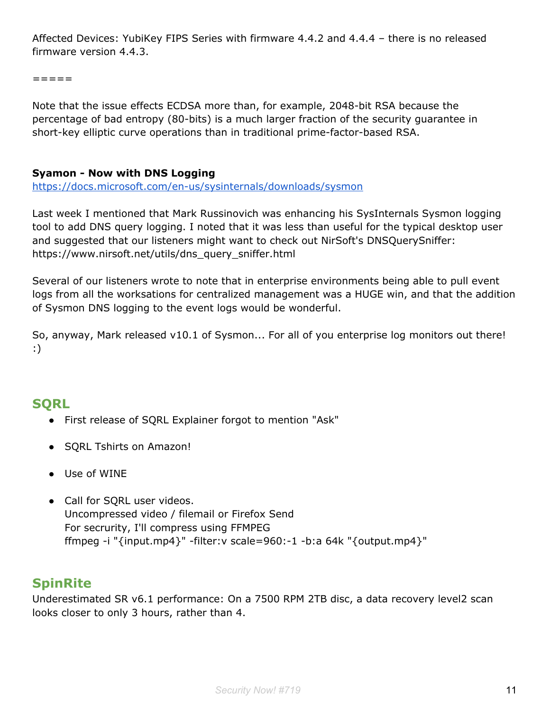Affected Devices: YubiKey FIPS Series with firmware 4.4.2 and 4.4.4 – there is no released firmware version 4.4.3.

=====

Note that the issue effects ECDSA more than, for example, 2048-bit RSA because the percentage of bad entropy (80-bits) is a much larger fraction of the security guarantee in short-key elliptic curve operations than in traditional prime-factor-based RSA.

#### **Syamon - Now with DNS Logging**

<https://docs.microsoft.com/en-us/sysinternals/downloads/sysmon>

Last week I mentioned that Mark Russinovich was enhancing his SysInternals Sysmon logging tool to add DNS query logging. I noted that it was less than useful for the typical desktop user and suggested that our listeners might want to check out NirSoft's DNSQuerySniffer: https://www.nirsoft.net/utils/dns\_query\_sniffer.html

Several of our listeners wrote to note that in enterprise environments being able to pull event logs from all the worksations for centralized management was a HUGE win, and that the addition of Sysmon DNS logging to the event logs would be wonderful.

So, anyway, Mark released v10.1 of Sysmon... For all of you enterprise log monitors out there! :)

## **SQRL**

- First release of SQRL Explainer forgot to mention "Ask"
- SQRL Tshirts on Amazon!
- Use of WINE
- Call for SQRL user videos. Uncompressed video / filemail or Firefox Send For secrurity, I'll compress using FFMPEG ffmpeg -i "{input.mp4}" -filter:v scale=960:-1 -b:a 64k "{output.mp4}"

## **SpinRite**

Underestimated SR v6.1 performance: On a 7500 RPM 2TB disc, a data recovery level2 scan looks closer to only 3 hours, rather than 4.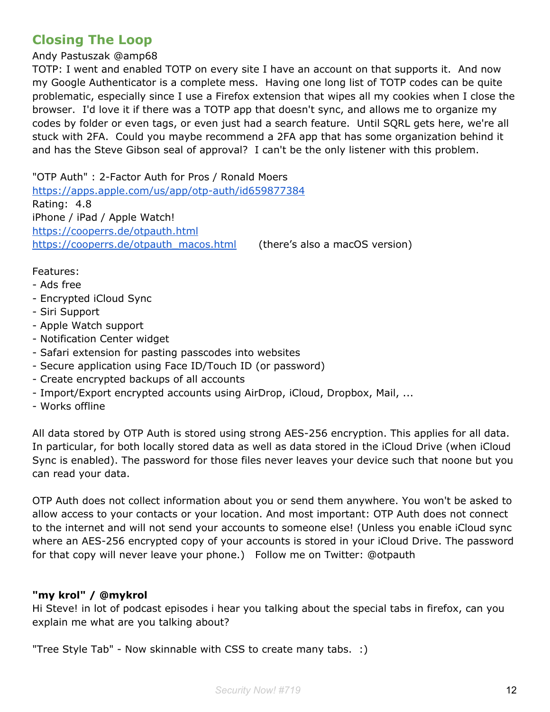## **Closing The Loop**

Andy Pastuszak @amp68

TOTP: I went and enabled TOTP on every site I have an account on that supports it. And now my Google Authenticator is a complete mess. Having one long list of TOTP codes can be quite problematic, especially since I use a Firefox extension that wipes all my cookies when I close the browser. I'd love it if there was a TOTP app that doesn't sync, and allows me to organize my codes by folder or even tags, or even just had a search feature. Until SQRL gets here, we're all stuck with 2FA. Could you maybe recommend a 2FA app that has some organization behind it and has the Steve Gibson seal of approval? I can't be the only listener with this problem.

"OTP Auth" : 2-Factor Auth for Pros / Ronald Moers <https://apps.apple.com/us/app/otp-auth/id659877384> Rating: 4.8 iPhone / iPad / Apple Watch! <https://cooperrs.de/otpauth.html> [https://cooperrs.de/otpauth\\_macos.html](https://cooperrs.de/otpauth_macos.html) (there's also a macOS version)

#### Features:

- Ads free
- Encrypted iCloud Sync
- Siri Support
- Apple Watch support
- Notification Center widget
- Safari extension for pasting passcodes into websites
- Secure application using Face ID/Touch ID (or password)
- Create encrypted backups of all accounts
- Import/Export encrypted accounts using AirDrop, iCloud, Dropbox, Mail, ...
- Works offline

All data stored by OTP Auth is stored using strong AES-256 encryption. This applies for all data. In particular, for both locally stored data as well as data stored in the iCloud Drive (when iCloud Sync is enabled). The password for those files never leaves your device such that noone but you can read your data.

OTP Auth does not collect information about you or send them anywhere. You won't be asked to allow access to your contacts or your location. And most important: OTP Auth does not connect to the internet and will not send your accounts to someone else! (Unless you enable iCloud sync where an AES-256 encrypted copy of your accounts is stored in your iCloud Drive. The password for that copy will never leave your phone.) Follow me on Twitter: @otpauth

#### **"my krol" / @mykrol**

Hi Steve! in lot of podcast episodes i hear you talking about the special tabs in firefox, can you explain me what are you talking about?

"Tree Style Tab" - Now skinnable with CSS to create many tabs. :)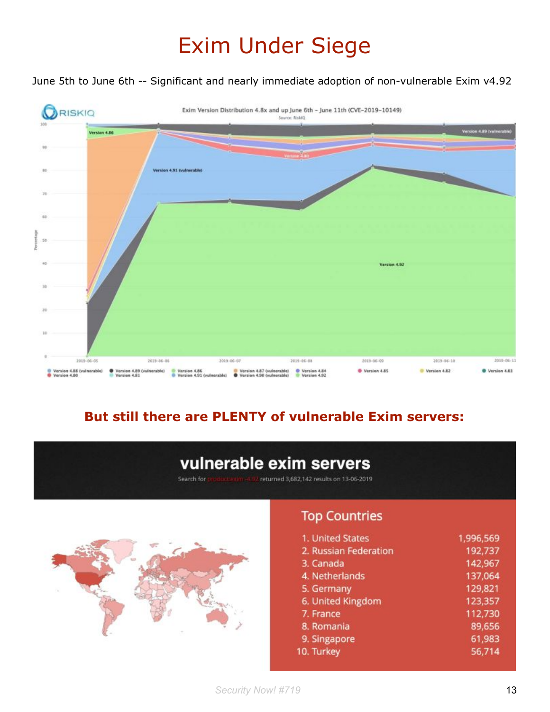# Exim Under Siege

June 5th to June 6th -- Significant and nearly immediate adoption of non-vulnerable Exim v4.92



## **But still there are PLENTY of vulnerable Exim servers:**

## vulnerable exim servers

Search for returned 3,682,142 results on 13-06-2019



## **Top Countries**

| 1. United States      | 1,996,569 |
|-----------------------|-----------|
| 2. Russian Federation | 192,737   |
| 3. Canada             | 142,967   |
| 4. Netherlands        | 137,064   |
| 5. Germany            | 129,821   |
| 6. United Kingdom     | 123,357   |
| 7. France             | 112,730   |
| 8. Romania            | 89,656    |
| 9. Singapore          | 61,983    |
| 10. Turkey            | 56,714    |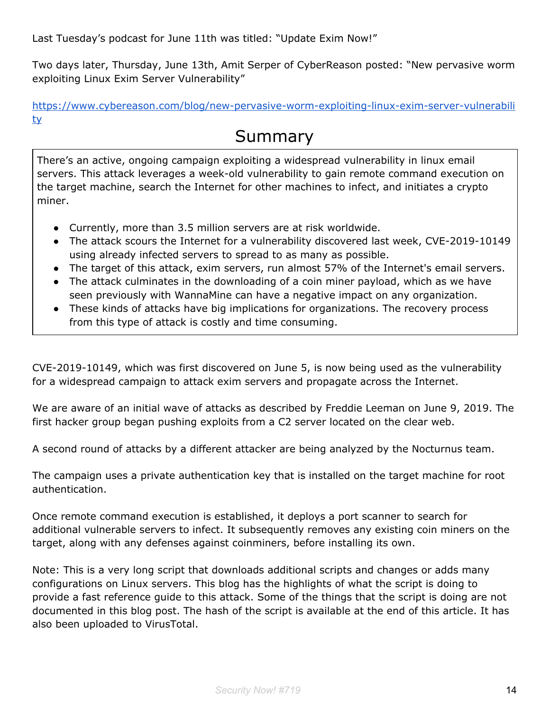Last Tuesday's podcast for June 11th was titled: "Update Exim Now!"

Two days later, Thursday, June 13th, Amit Serper of CyberReason posted: "New pervasive worm exploiting Linux Exim Server Vulnerability"

[https://www.cybereason.com/blog/new-pervasive-worm-exploiting-linux-exim-server-vulnerabili](https://www.cybereason.com/blog/new-pervasive-worm-exploiting-linux-exim-server-vulnerability) [ty](https://www.cybereason.com/blog/new-pervasive-worm-exploiting-linux-exim-server-vulnerability)

## Summary

There's an active, ongoing campaign exploiting a widespread vulnerability in linux email servers. This attack leverages a week-old vulnerability to gain remote command execution on the target machine, search the Internet for other machines to infect, and initiates a crypto miner.

- Currently, more than 3.5 million servers are at risk worldwide.
- The attack scours the Internet for a vulnerability discovered last week, CVE-2019-10149 using already infected servers to spread to as many as possible.
- The target of this attack, exim servers, run almost 57% of the Internet's email servers.
- The attack culminates in the downloading of a coin miner payload, which as we have seen previously with WannaMine can have a negative impact on any organization.
- These kinds of attacks have big implications for organizations. The recovery process from this type of attack is costly and time consuming.

CVE-2019-10149, which was first discovered on June 5, is now being used as the vulnerability for a widespread campaign to attack exim servers and propagate across the Internet.

We are aware of an initial wave of attacks as described by Freddie Leeman on June 9, 2019. The first hacker group began pushing exploits from a C2 server located on the clear web.

A second round of attacks by a different attacker are being analyzed by the Nocturnus team.

The campaign uses a private authentication key that is installed on the target machine for root authentication.

Once remote command execution is established, it deploys a port scanner to search for additional vulnerable servers to infect. It subsequently removes any existing coin miners on the target, along with any defenses against coinminers, before installing its own.

Note: This is a very long script that downloads additional scripts and changes or adds many configurations on Linux servers. This blog has the highlights of what the script is doing to provide a fast reference guide to this attack. Some of the things that the script is doing are not documented in this blog post. The hash of the script is available at the end of this article. It has also been uploaded to VirusTotal.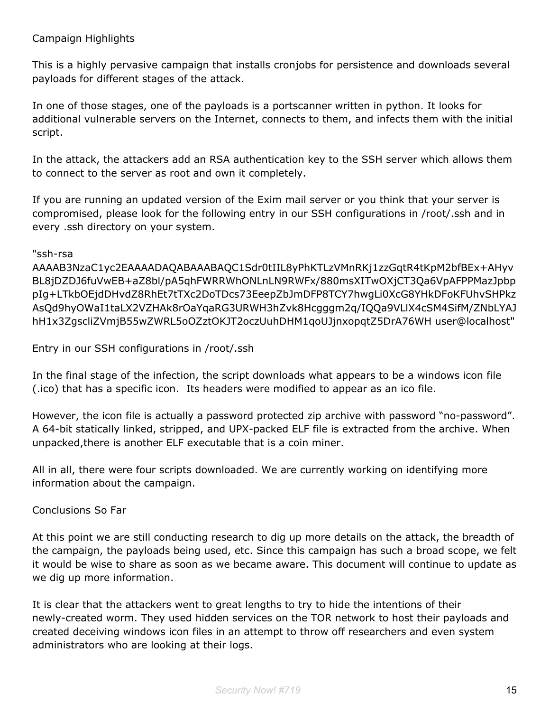This is a highly pervasive campaign that installs cronjobs for persistence and downloads several payloads for different stages of the attack.

In one of those stages, one of the payloads is a portscanner written in python. It looks for additional vulnerable servers on the Internet, connects to them, and infects them with the initial script.

In the attack, the attackers add an RSA authentication key to the SSH server which allows them to connect to the server as root and own it completely.

If you are running an updated version of the Exim mail server or you think that your server is compromised, please look for the following entry in our SSH configurations in /root/.ssh and in every .ssh directory on your system.

#### "ssh-rsa

AAAAB3NzaC1yc2EAAAADAQABAAABAQC1Sdr0tIIL8yPhKTLzVMnRKj1zzGqtR4tKpM2bfBEx+AHyv BL8jDZDJ6fuVwEB+aZ8bl/pA5qhFWRRWhONLnLN9RWFx/880msXITwOXjCT3Qa6VpAFPPMazJpbp pIg+LTkbOEjdDHvdZ8RhEt7tTXc2DoTDcs73EeepZbJmDFP8TCY7hwgLi0XcG8YHkDFoKFUhvSHPkz AsQd9hyOWaI1taLX2VZHAk8rOaYqaRG3URWH3hZvk8Hcgggm2q/IQQa9VLlX4cSM4SifM/ZNbLYAJ hH1x3ZgscliZVmjB55wZWRL5oOZztOKJT2oczUuhDHM1qoUJjnxopqtZ5DrA76WH user@localhost"

Entry in our SSH configurations in /root/.ssh

In the final stage of the infection, the script downloads what appears to be a windows icon file (.ico) that has a specific icon. Its headers were modified to appear as an ico file.

However, the icon file is actually a password protected zip archive with password "no-password". A 64-bit statically linked, stripped, and UPX-packed ELF file is extracted from the archive. When unpacked,there is another ELF executable that is a coin miner.

All in all, there were four scripts downloaded. We are currently working on identifying more information about the campaign.

Conclusions So Far

At this point we are still conducting research to dig up more details on the attack, the breadth of the campaign, the payloads being used, etc. Since this campaign has such a broad scope, we felt it would be wise to share as soon as we became aware. This document will continue to update as we dig up more information.

It is clear that the attackers went to great lengths to try to hide the intentions of their newly-created worm. They used hidden services on the TOR network to host their payloads and created deceiving windows icon files in an attempt to throw off researchers and even system administrators who are looking at their logs.